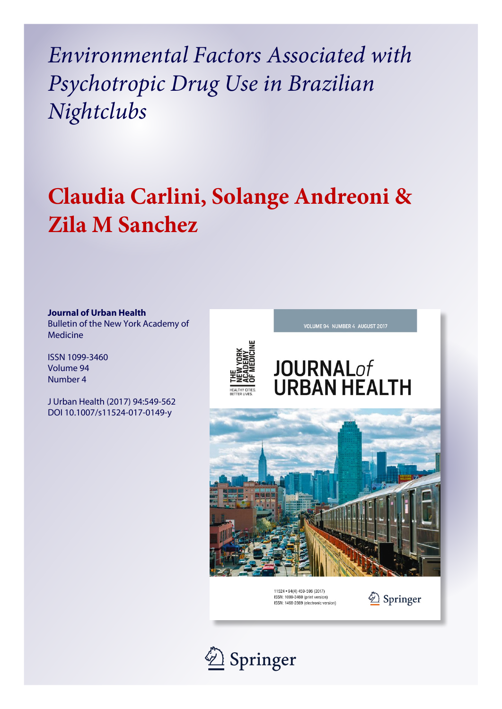*Environmental Factors Associated with Psychotropic Drug Use in Brazilian Nightclubs*

# **Claudia Carlini, Solange Andreoni & Zila M Sanchez**

**Journal of Urban Health** Bulletin of the New York Academy of Medicine

ISSN 1099-3460 Volume 94 Number 4

J Urban Health (2017) 94:549-562 DOI 10.1007/s11524-017-0149-y



VOLUME 94 NUMBER 4 AUGUST 2017



11524 • 94(4) 459-596 (2017) ISSN: 1099-3460 (print version) ISSN: 1468-2869 (electronic version)

2 Springer

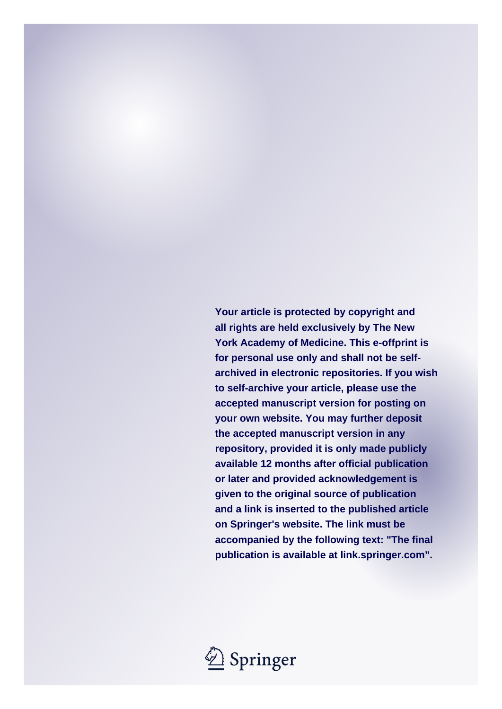**Your article is protected by copyright and all rights are held exclusively by The New York Academy of Medicine. This e-offprint is for personal use only and shall not be selfarchived in electronic repositories. If you wish to self-archive your article, please use the accepted manuscript version for posting on your own website. You may further deposit the accepted manuscript version in any repository, provided it is only made publicly available 12 months after official publication or later and provided acknowledgement is given to the original source of publication and a link is inserted to the published article on Springer's website. The link must be accompanied by the following text: "The final publication is available at link.springer.com".**

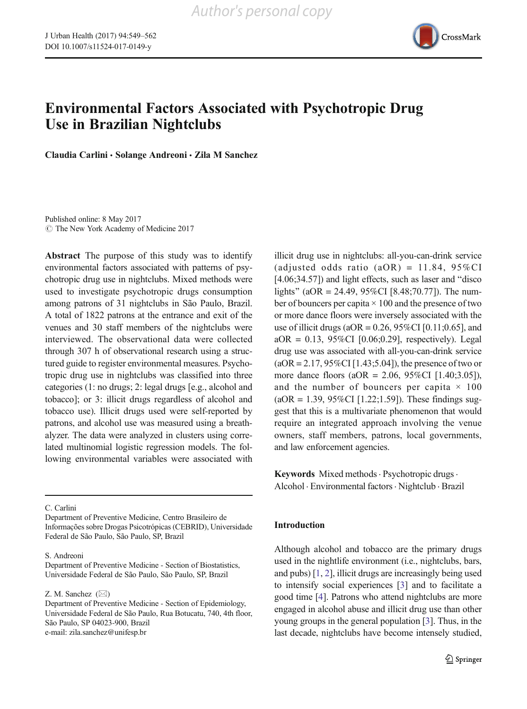

### Environmental Factors Associated with Psychotropic Drug Use in Brazilian Nightclubs

Claudia Carlini · Solange Andreoni · Zila M Sanchez

Published online: 8 May 2017  $\odot$  The New York Academy of Medicine 2017

Abstract The purpose of this study was to identify environmental factors associated with patterns of psychotropic drug use in nightclubs. Mixed methods were used to investigate psychotropic drugs consumption among patrons of 31 nightclubs in São Paulo, Brazil. A total of 1822 patrons at the entrance and exit of the venues and 30 staff members of the nightclubs were interviewed. The observational data were collected through 307 h of observational research using a structured guide to register environmental measures. Psychotropic drug use in nightclubs was classified into three categories (1: no drugs; 2: legal drugs [e.g., alcohol and tobacco]; or 3: illicit drugs regardless of alcohol and tobacco use). Illicit drugs used were self-reported by patrons, and alcohol use was measured using a breathalyzer. The data were analyzed in clusters using correlated multinomial logistic regression models. The following environmental variables were associated with

C. Carlini

S. Andreoni

illicit drug use in nightclubs: all-you-can-drink service (adjusted odds ratio  $(aOR) = 11.84$ , 95%CI  $[4.06;34.57]$  and light effects, such as laser and "disco" lights" (aOR = 24.49, 95%CI [8.48;70.77]). The number of bouncers per capita  $\times$  100 and the presence of two or more dance floors were inversely associated with the use of illicit drugs (aOR =  $0.26$ , 95%CI [0.11;0.65], and  $aOR = 0.13$ , 95%CI [0.06;0.29], respectively). Legal drug use was associated with all-you-can-drink service  $(aOR = 2.17, 95\% \text{CI} [1.43; 5.04])$ , the presence of two or more dance floors (aOR = 2.06, 95%CI [1.40;3.05]), and the number of bouncers per capita  $\times$  100  $(aOR = 1.39, 95\%CI$  [1.22;1.59]). These findings suggest that this is a multivariate phenomenon that would require an integrated approach involving the venue owners, staff members, patrons, local governments, and law enforcement agencies.

Keywords Mixed methods · Psychotropic drugs · Alcohol . Environmental factors. Nightclub . Brazil

#### Introduction

Although alcohol and tobacco are the primary drugs used in the nightlife environment (i.e., nightclubs, bars, and pubs) [\[1,](#page-14-0) [2](#page-14-0)], illicit drugs are increasingly being used to intensify social experiences [\[3](#page-14-0)] and to facilitate a good time [[4\]](#page-14-0). Patrons who attend nightclubs are more engaged in alcohol abuse and illicit drug use than other young groups in the general population [[3\]](#page-14-0). Thus, in the last decade, nightclubs have become intensely studied,

Department of Preventive Medicine, Centro Brasileiro de Informações sobre Drogas Psicotrópicas (CEBRID), Universidade Federal de São Paulo, São Paulo, SP, Brazil

Department of Preventive Medicine - Section of Biostatistics, Universidade Federal de São Paulo, São Paulo, SP, Brazil

Z. M. Sanchez  $(\boxtimes)$ 

Department of Preventive Medicine - Section of Epidemiology, Universidade Federal de São Paulo, Rua Botucatu, 740, 4th floor, São Paulo, SP 04023-900, Brazil e-mail: zila.sanchez@unifesp.br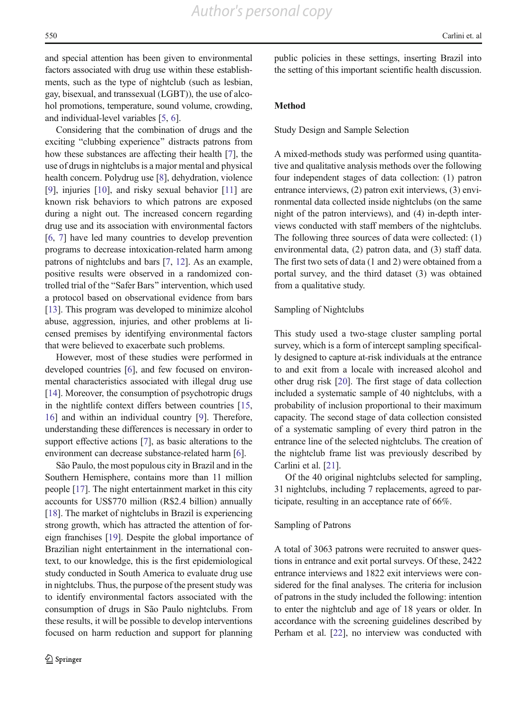and special attention has been given to environmental factors associated with drug use within these establishments, such as the type of nightclub (such as lesbian, gay, bisexual, and transsexual (LGBT)), the use of alcohol promotions, temperature, sound volume, crowding, and individual-level variables [[5](#page-14-0), [6](#page-14-0)].

Considering that the combination of drugs and the exciting "clubbing experience" distracts patrons from how these substances are affecting their health [[7\]](#page-14-0), the use of drugs in nightclubs is a major mental and physical health concern. Polydrug use [\[8](#page-14-0)], dehydration, violence [[9\]](#page-14-0), injuries [\[10\]](#page-14-0), and risky sexual behavior [\[11\]](#page-14-0) are known risk behaviors to which patrons are exposed during a night out. The increased concern regarding drug use and its association with environmental factors [[6,](#page-14-0) [7\]](#page-14-0) have led many countries to develop prevention programs to decrease intoxication-related harm among patrons of nightclubs and bars [\[7,](#page-14-0) [12](#page-14-0)]. As an example, positive results were observed in a randomized controlled trial of the "Safer Bars" intervention, which used a protocol based on observational evidence from bars [[13\]](#page-14-0). This program was developed to minimize alcohol abuse, aggression, injuries, and other problems at licensed premises by identifying environmental factors that were believed to exacerbate such problems.

However, most of these studies were performed in developed countries [\[6](#page-14-0)], and few focused on environmental characteristics associated with illegal drug use [[14\]](#page-14-0). Moreover, the consumption of psychotropic drugs in the nightlife context differs between countries [[15,](#page-14-0) [16\]](#page-14-0) and within an individual country [[9](#page-14-0)]. Therefore, understanding these differences is necessary in order to support effective actions [\[7\]](#page-14-0), as basic alterations to the environment can decrease substance-related harm [\[6](#page-14-0)].

São Paulo, the most populous city in Brazil and in the Southern Hemisphere, contains more than 11 million people [\[17](#page-14-0)]. The night entertainment market in this city accounts for US\$770 million (R\$2.4 billion) annually [[18\]](#page-14-0). The market of nightclubs in Brazil is experiencing strong growth, which has attracted the attention of foreign franchises [\[19](#page-14-0)]. Despite the global importance of Brazilian night entertainment in the international context, to our knowledge, this is the first epidemiological study conducted in South America to evaluate drug use in nightclubs. Thus, the purpose of the present study was to identify environmental factors associated with the consumption of drugs in São Paulo nightclubs. From these results, it will be possible to develop interventions focused on harm reduction and support for planning

public policies in these settings, inserting Brazil into the setting of this important scientific health discussion.

#### Method

Study Design and Sample Selection

A mixed-methods study was performed using quantitative and qualitative analysis methods over the following four independent stages of data collection: (1) patron entrance interviews, (2) patron exit interviews, (3) environmental data collected inside nightclubs (on the same night of the patron interviews), and (4) in-depth interviews conducted with staff members of the nightclubs. The following three sources of data were collected: (1) environmental data, (2) patron data, and (3) staff data. The first two sets of data (1 and 2) were obtained from a portal survey, and the third dataset (3) was obtained from a qualitative study.

#### Sampling of Nightclubs

This study used a two-stage cluster sampling portal survey, which is a form of intercept sampling specifically designed to capture at-risk individuals at the entrance to and exit from a locale with increased alcohol and other drug risk [\[20\]](#page-14-0). The first stage of data collection included a systematic sample of 40 nightclubs, with a probability of inclusion proportional to their maximum capacity. The second stage of data collection consisted of a systematic sampling of every third patron in the entrance line of the selected nightclubs. The creation of the nightclub frame list was previously described by Carlini et al. [[21\]](#page-14-0).

Of the 40 original nightclubs selected for sampling, 31 nightclubs, including 7 replacements, agreed to participate, resulting in an acceptance rate of 66%.

#### Sampling of Patrons

A total of 3063 patrons were recruited to answer questions in entrance and exit portal surveys. Of these, 2422 entrance interviews and 1822 exit interviews were considered for the final analyses. The criteria for inclusion of patrons in the study included the following: intention to enter the nightclub and age of 18 years or older. In accordance with the screening guidelines described by Perham et al. [\[22\]](#page-14-0), no interview was conducted with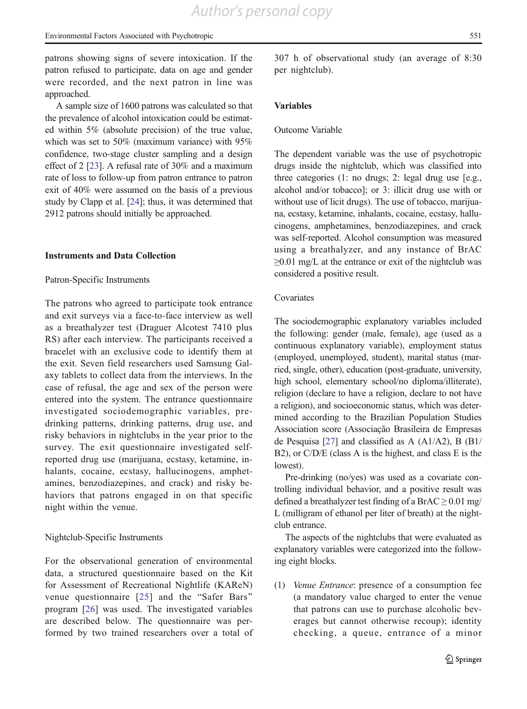patrons showing signs of severe intoxication. If the patron refused to participate, data on age and gender were recorded, and the next patron in line was approached.

A sample size of 1600 patrons was calculated so that the prevalence of alcohol intoxication could be estimated within 5% (absolute precision) of the true value, which was set to 50% (maximum variance) with 95% confidence, two-stage cluster sampling and a design effect of 2 [\[23\]](#page-15-0). A refusal rate of 30% and a maximum rate of loss to follow-up from patron entrance to patron exit of 40% were assumed on the basis of a previous study by Clapp et al. [\[24\]](#page-15-0); thus, it was determined that 2912 patrons should initially be approached.

#### Instruments and Data Collection

#### Patron-Specific Instruments

The patrons who agreed to participate took entrance and exit surveys via a face-to-face interview as well as a breathalyzer test (Draguer Alcotest 7410 plus RS) after each interview. The participants received a bracelet with an exclusive code to identify them at the exit. Seven field researchers used Samsung Galaxy tablets to collect data from the interviews. In the case of refusal, the age and sex of the person were entered into the system. The entrance questionnaire investigated sociodemographic variables, predrinking patterns, drinking patterns, drug use, and risky behaviors in nightclubs in the year prior to the survey. The exit questionnaire investigated selfreported drug use (marijuana, ecstasy, ketamine, inhalants, cocaine, ecstasy, hallucinogens, amphetamines, benzodiazepines, and crack) and risky behaviors that patrons engaged in on that specific night within the venue.

#### Nightclub-Specific Instruments

For the observational generation of environmental data, a structured questionnaire based on the Kit for Assessment of Recreational Nightlife (KAReN) venue questionnaire  $[25]$  $[25]$  $[25]$  and the "Safer Bars" program [[26\]](#page-15-0) was used. The investigated variables are described below. The questionnaire was performed by two trained researchers over a total of

307 h of observational study (an average of 8:30 per nightclub).

#### Variables

#### Outcome Variable

The dependent variable was the use of psychotropic drugs inside the nightclub, which was classified into three categories (1: no drugs; 2: legal drug use [e.g., alcohol and/or tobacco]; or 3: illicit drug use with or without use of licit drugs). The use of tobacco, marijuana, ecstasy, ketamine, inhalants, cocaine, ecstasy, hallucinogens, amphetamines, benzodiazepines, and crack was self-reported. Alcohol consumption was measured using a breathalyzer, and any instance of BrAC  $\geq 0.01$  mg/L at the entrance or exit of the nightclub was considered a positive result.

#### Covariates

The sociodemographic explanatory variables included the following: gender (male, female), age (used as a continuous explanatory variable), employment status (employed, unemployed, student), marital status (married, single, other), education (post-graduate, university, high school, elementary school/no diploma/illiterate), religion (declare to have a religion, declare to not have a religion), and socioeconomic status, which was determined according to the Brazilian Population Studies Association score (Associação Brasileira de Empresas de Pesquisa [\[27\]](#page-15-0) and classified as A (A1/A2), B (B1/ B2), or C/D/E (class A is the highest, and class E is the lowest).

Pre-drinking (no/yes) was used as a covariate controlling individual behavior, and a positive result was defined a breathalyzer test finding of a  $BrAC \ge 0.01$  mg/ L (milligram of ethanol per liter of breath) at the nightclub entrance.

The aspects of the nightclubs that were evaluated as explanatory variables were categorized into the following eight blocks.

(1) Venue Entrance: presence of a consumption fee (a mandatory value charged to enter the venue that patrons can use to purchase alcoholic beverages but cannot otherwise recoup); identity checking, a queue, entrance of a minor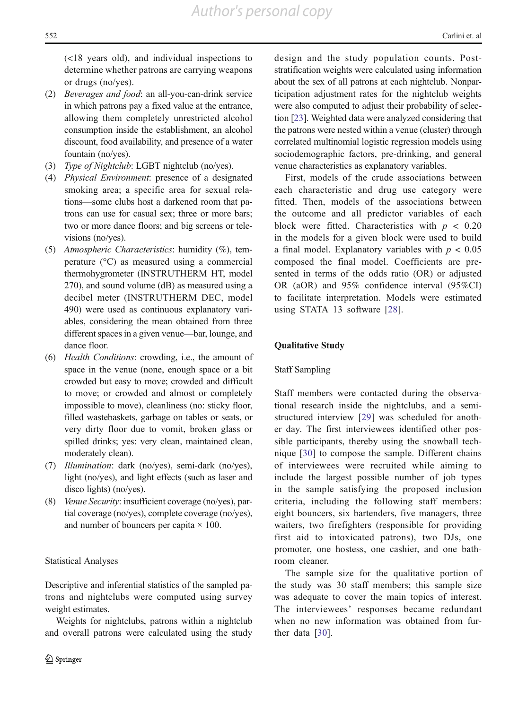(<18 years old), and individual inspections to determine whether patrons are carrying weapons or drugs (no/yes).

- (2) Beverages and food: an all-you-can-drink service in which patrons pay a fixed value at the entrance, allowing them completely unrestricted alcohol consumption inside the establishment, an alcohol discount, food availability, and presence of a water fountain (no/yes).
- (3) Type of Nightclub: LGBT nightclub (no/yes).
- (4) Physical Environment: presence of a designated smoking area; a specific area for sexual relations—some clubs host a darkened room that patrons can use for casual sex; three or more bars; two or more dance floors; and big screens or televisions (no/yes).
- (5) Atmospheric Characteristics: humidity (%), temperature (°C) as measured using a commercial thermohygrometer (INSTRUTHERM HT, model 270), and sound volume (dB) as measured using a decibel meter (INSTRUTHERM DEC, model 490) were used as continuous explanatory variables, considering the mean obtained from three different spaces in a given venue—bar, lounge, and dance floor.
- (6) Health Conditions: crowding, i.e., the amount of space in the venue (none, enough space or a bit crowded but easy to move; crowded and difficult to move; or crowded and almost or completely impossible to move), cleanliness (no: sticky floor, filled wastebaskets, garbage on tables or seats, or very dirty floor due to vomit, broken glass or spilled drinks; yes: very clean, maintained clean, moderately clean).
- (7) Illumination: dark (no/yes), semi-dark (no/yes), light (no/yes), and light effects (such as laser and disco lights) (no/yes).
- (8) Venue Security: insufficient coverage (no/yes), partial coverage (no/yes), complete coverage (no/yes), and number of bouncers per capita  $\times$  100.

#### Statistical Analyses

Descriptive and inferential statistics of the sampled patrons and nightclubs were computed using survey weight estimates.

Weights for nightclubs, patrons within a nightclub and overall patrons were calculated using the study design and the study population counts. Poststratification weights were calculated using information about the sex of all patrons at each nightclub. Nonparticipation adjustment rates for the nightclub weights were also computed to adjust their probability of selection [\[23](#page-15-0)]. Weighted data were analyzed considering that the patrons were nested within a venue (cluster) through correlated multinomial logistic regression models using sociodemographic factors, pre-drinking, and general venue characteristics as explanatory variables.

First, models of the crude associations between each characteristic and drug use category were fitted. Then, models of the associations between the outcome and all predictor variables of each block were fitted. Characteristics with  $p < 0.20$ in the models for a given block were used to build a final model. Explanatory variables with  $p < 0.05$ composed the final model. Coefficients are presented in terms of the odds ratio (OR) or adjusted OR (aOR) and 95% confidence interval (95%CI) to facilitate interpretation. Models were estimated using STATA 13 software [[28](#page-15-0)].

#### Qualitative Study

#### Staff Sampling

Staff members were contacted during the observational research inside the nightclubs, and a semistructured interview [[29\]](#page-15-0) was scheduled for another day. The first interviewees identified other possible participants, thereby using the snowball technique [\[30\]](#page-15-0) to compose the sample. Different chains of interviewees were recruited while aiming to include the largest possible number of job types in the sample satisfying the proposed inclusion criteria, including the following staff members: eight bouncers, six bartenders, five managers, three waiters, two firefighters (responsible for providing first aid to intoxicated patrons), two DJs, one promoter, one hostess, one cashier, and one bathroom cleaner.

The sample size for the qualitative portion of the study was 30 staff members; this sample size was adequate to cover the main topics of interest. The interviewees' responses became redundant when no new information was obtained from further data [[30\]](#page-15-0).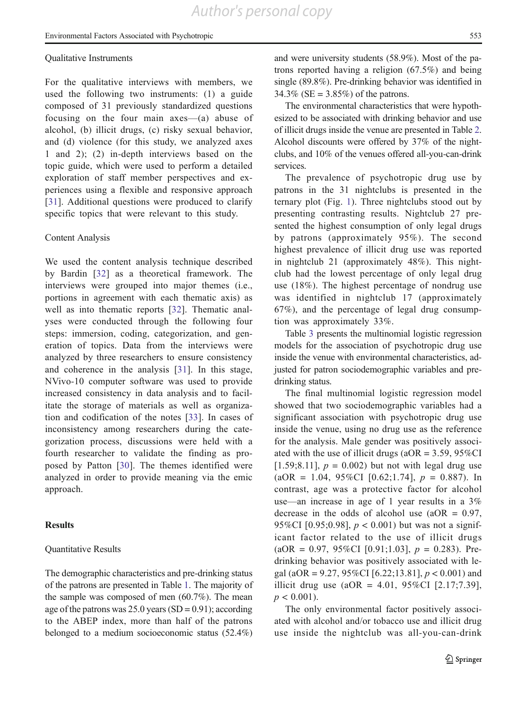#### Environmental Factors Associated with Psychotropic 553

For the qualitative interviews with members, we used the following two instruments: (1) a guide composed of 31 previously standardized questions focusing on the four main axes—(a) abuse of alcohol, (b) illicit drugs, (c) risky sexual behavior, and (d) violence (for this study, we analyzed axes 1 and 2); (2) in-depth interviews based on the topic guide, which were used to perform a detailed exploration of staff member perspectives and experiences using a flexible and responsive approach [[31](#page-15-0)]. Additional questions were produced to clarify specific topics that were relevant to this study.

#### Content Analysis

We used the content analysis technique described by Bardin [[32](#page-15-0)] as a theoretical framework. The interviews were grouped into major themes (i.e., portions in agreement with each thematic axis) as well as into thematic reports [\[32\]](#page-15-0). Thematic analyses were conducted through the following four steps: immersion, coding, categorization, and generation of topics. Data from the interviews were analyzed by three researchers to ensure consistency and coherence in the analysis [\[31\]](#page-15-0). In this stage, NVivo-10 computer software was used to provide increased consistency in data analysis and to facilitate the storage of materials as well as organization and codification of the notes [[33\]](#page-15-0). In cases of inconsistency among researchers during the categorization process, discussions were held with a fourth researcher to validate the finding as proposed by Patton [\[30\]](#page-15-0). The themes identified were analyzed in order to provide meaning via the emic approach.

#### **Results**

#### Quantitative Results

The demographic characteristics and pre-drinking status of the patrons are presented in Table [1.](#page-7-0) The majority of the sample was composed of men (60.7%). The mean age of the patrons was  $25.0$  years (SD = 0.91); according to the ABEP index, more than half of the patrons belonged to a medium socioeconomic status (52.4%)

and were university students (58.9%). Most of the patrons reported having a religion (67.5%) and being single (89.8%). Pre-drinking behavior was identified in  $34.3\%$  (SE =  $3.85\%$ ) of the patrons.

The environmental characteristics that were hypothesized to be associated with drinking behavior and use of illicit drugs inside the venue are presented in Table [2.](#page-8-0) Alcohol discounts were offered by 37% of the nightclubs, and 10% of the venues offered all-you-can-drink services.

The prevalence of psychotropic drug use by patrons in the 31 nightclubs is presented in the ternary plot (Fig. [1\)](#page-9-0). Three nightclubs stood out by presenting contrasting results. Nightclub 27 presented the highest consumption of only legal drugs by patrons (approximately 95%). The second highest prevalence of illicit drug use was reported in nightclub 21 (approximately 48%). This nightclub had the lowest percentage of only legal drug use (18%). The highest percentage of nondrug use was identified in nightclub 17 (approximately 67%), and the percentage of legal drug consumption was approximately 33%.

Table [3](#page-10-0) presents the multinomial logistic regression models for the association of psychotropic drug use inside the venue with environmental characteristics, adjusted for patron sociodemographic variables and predrinking status.

The final multinomial logistic regression model showed that two sociodemographic variables had a significant association with psychotropic drug use inside the venue, using no drug use as the reference for the analysis. Male gender was positively associated with the use of illicit drugs ( $aOR = 3.59$ ,  $95\%CI$ [1.59;8.11],  $p = 0.002$ ) but not with legal drug use  $(aOR = 1.04, 95\%CI [0.62;1.74], p = 0.887)$ . In contrast, age was a protective factor for alcohol use—an increase in age of 1 year results in a 3% decrease in the odds of alcohol use  $(aOR = 0.97)$ , 95%CI [0.95;0.98],  $p < 0.001$ ) but was not a significant factor related to the use of illicit drugs  $(aOR = 0.97, 95\%CI [0.91;1.03], p = 0.283)$ . Predrinking behavior was positively associated with legal (aOR = 9.27, 95%CI [6.22;13.81],  $p < 0.001$ ) and illicit drug use  $(aOR = 4.01, 95\%CI [2.17;7.39],$  $p < 0.001$ ).

The only environmental factor positively associated with alcohol and/or tobacco use and illicit drug use inside the nightclub was all-you-can-drink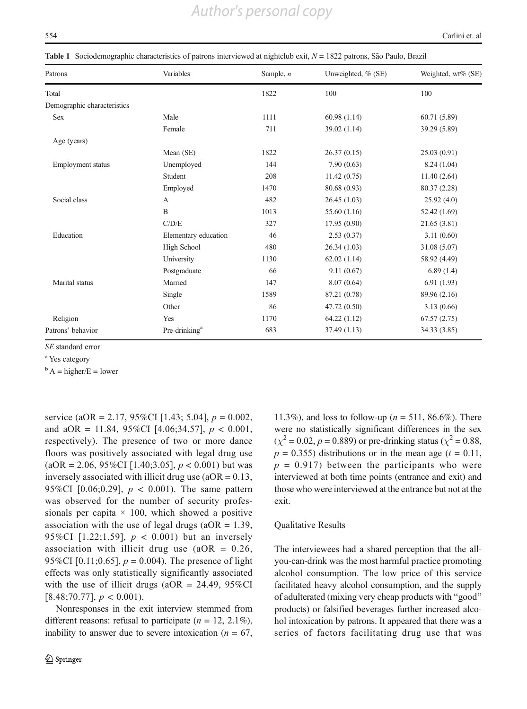<span id="page-7-0"></span>**Table 1** Sociodemographic characteristics of patrons interviewed at nightclub exit,  $N = 1822$  patrons, São Paulo, Brazil

| Patrons                     | Variables                 | Sample, $n$ | Unweighted, % (SE) | Weighted, wt% (SE) |
|-----------------------------|---------------------------|-------------|--------------------|--------------------|
| Total                       |                           | 1822        | 100                | 100                |
| Demographic characteristics |                           |             |                    |                    |
| <b>Sex</b>                  | Male                      | 1111        | 60.98(1.14)        | 60.71 (5.89)       |
|                             | Female                    | 711         | 39.02 (1.14)       | 39.29 (5.89)       |
| Age (years)                 |                           |             |                    |                    |
|                             | Mean (SE)                 | 1822        | 26.37(0.15)        | 25.03(0.91)        |
| Employment status           | Unemployed                | 144         | 7.90(0.63)         | 8.24(1.04)         |
|                             | Student                   | 208         | 11.42(0.75)        | 11.40(2.64)        |
|                             | Employed                  | 1470        | 80.68 (0.93)       | 80.37 (2.28)       |
| Social class                | A                         | 482         | 26.45(1.03)        | 25.92(4.0)         |
|                             | B                         | 1013        | 55.60 (1.16)       | 52.42 (1.69)       |
|                             | C/D/E                     | 327         | 17.95 (0.90)       | 21.65 (3.81)       |
| Education                   | Elementary education      | 46          | 2.53(0.37)         | 3.11(0.60)         |
|                             | High School               | 480         | 26.34 (1.03)       | 31.08 (5.07)       |
|                             | University                | 1130        | 62.02(1.14)        | 58.92 (4.49)       |
|                             | Postgraduate              | 66          | 9.11(0.67)         | 6.89(1.4)          |
| Marital status              | Married                   | 147         | 8.07(0.64)         | 6.91(1.93)         |
|                             | Single                    | 1589        | 87.21 (0.78)       | 89.96 (2.16)       |
|                             | Other                     | 86          | 47.72 (0.50)       | 3.13(0.66)         |
| Religion                    | Yes                       | 1170        | 64.22 (1.12)       | 67.57(2.75)        |
| Patrons' behavior           | Pre-drinking <sup>a</sup> | 683         | 37.49 (1.13)       | 34.33 (3.85)       |

SE standard error

a Yes category

 $b A = \text{higher/E} = \text{lower}$ 

service (aOR = 2.17, 95%CI [1.43; 5.04],  $p = 0.002$ , and aOR = 11.84, 95%CI [4.06;34.57],  $p < 0.001$ , respectively). The presence of two or more dance floors was positively associated with legal drug use  $(aOR = 2.06, 95\% \text{CI} [1.40; 3.05], p < 0.001)$  but was inversely associated with illicit drug use  $(aOR = 0.13,$ 95%CI [0.06;0.29],  $p < 0.001$ ). The same pattern was observed for the number of security professionals per capita  $\times$  100, which showed a positive association with the use of legal drugs ( $aOR = 1.39$ , 95%CI [1.22;1.59],  $p < 0.001$ ) but an inversely association with illicit drug use  $(aOR = 0.26,$ 95%CI [0.11;0.65],  $p = 0.004$ ). The presence of light effects was only statistically significantly associated with the use of illicit drugs ( $aOR = 24.49$ ,  $95\%CI$  $[8.48;70.77], p < 0.001$ .

Nonresponses in the exit interview stemmed from different reasons: refusal to participate  $(n = 12, 2.1\%)$ , inability to answer due to severe intoxication ( $n = 67$ ,

11.3%), and loss to follow-up ( $n = 511, 86.6\%$ ). There were no statistically significant differences in the sex  $(\chi^2 = 0.02, p = 0.889)$  or pre-drinking status ( $\chi^2 = 0.88$ ,  $p = 0.355$ ) distributions or in the mean age ( $t = 0.11$ ,  $p = 0.917$ ) between the participants who were interviewed at both time points (entrance and exit) and those who were interviewed at the entrance but not at the exit.

#### Qualitative Results

The interviewees had a shared perception that the allyou-can-drink was the most harmful practice promoting alcohol consumption. The low price of this service facilitated heavy alcohol consumption, and the supply of adulterated (mixing very cheap products with "good" products) or falsified beverages further increased alcohol intoxication by patrons. It appeared that there was a series of factors facilitating drug use that was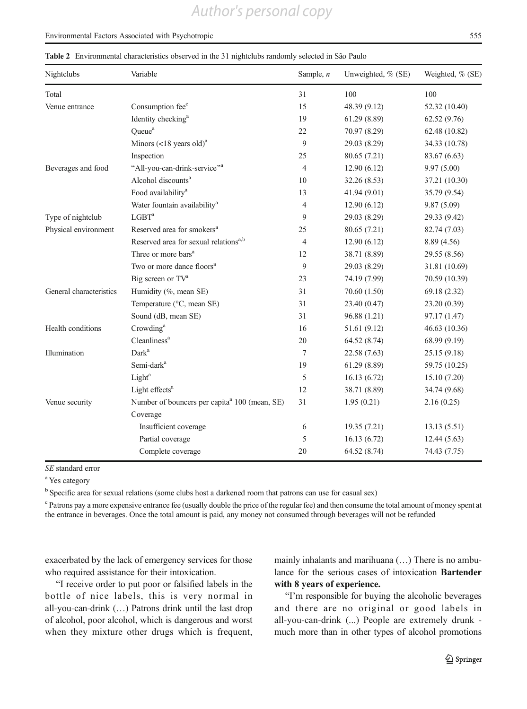## *Author's personal copy*

#### <span id="page-8-0"></span>Environmental Factors Associated with Psychotropic 555

#### Table 2 Environmental characteristics observed in the 31 nightclubs randomly selected in São Paulo

| Nightclubs              | Variable                                                  | Sample, $n$ | Unweighted, % (SE) | Weighted, % (SE) |
|-------------------------|-----------------------------------------------------------|-------------|--------------------|------------------|
| Total                   |                                                           | 31          | 100                | 100              |
| Venue entrance          | Consumption fee <sup>c</sup>                              | 15          | 48.39 (9.12)       | 52.32 (10.40)    |
|                         | Identity checking <sup>a</sup>                            | 19          | 61.29 (8.89)       | 62.52 (9.76)     |
|                         | Queue <sup>a</sup>                                        | 22          | 70.97 (8.29)       | 62.48 (10.82)    |
|                         | Minors $(<18$ years old) <sup>a</sup>                     | 9           | 29.03 (8.29)       | 34.33 (10.78)    |
|                         | Inspection                                                | 25          | 80.65 (7.21)       | 83.67 (6.63)     |
| Beverages and food      | "All-you-can-drink-service" <sup>a</sup>                  | 4           | 12.90(6.12)        | 9.97(5.00)       |
|                         | Alcohol discounts <sup>a</sup>                            | 10          | 32.26(8.53)        | 37.21 (10.30)    |
|                         | Food availability <sup>a</sup>                            | 13          | 41.94 (9.01)       | 35.79 (9.54)     |
|                         | Water fountain availability <sup>a</sup>                  | 4           | 12.90(6.12)        | 9.87(5.09)       |
| Type of nightclub       | $LGBT^a$                                                  | 9           | 29.03 (8.29)       | 29.33 (9.42)     |
| Physical environment    | Reserved area for smokers <sup>a</sup>                    | 25          | 80.65 (7.21)       | 82.74 (7.03)     |
|                         | Reserved area for sexual relations <sup>a,b</sup>         | 4           | 12.90(6.12)        | 8.89 (4.56)      |
|                         | Three or more bars <sup>a</sup>                           | 12          | 38.71 (8.89)       | 29.55 (8.56)     |
|                         | Two or more dance floors <sup>a</sup>                     | 9           | 29.03 (8.29)       | 31.81 (10.69)    |
|                         | Big screen or TV <sup>a</sup>                             | 23          | 74.19 (7.99)       | 70.59 (10.39)    |
| General characteristics | Humidity (%, mean SE)                                     | 31          | 70.60 (1.50)       | 69.18 (2.32)     |
|                         | Temperature (°C, mean SE)                                 | 31          | 23.40 (0.47)       | 23.20 (0.39)     |
|                         | Sound (dB, mean SE)                                       | 31          | 96.88 (1.21)       | 97.17 (1.47)     |
| Health conditions       | Crowding <sup>a</sup>                                     | 16          | 51.61 (9.12)       | 46.63 (10.36)    |
|                         | $C$ leanliness <sup>a</sup>                               | 20          | 64.52 (8.74)       | 68.99 (9.19)     |
| Illumination            | Dark <sup>a</sup>                                         | 7           | 22.58 (7.63)       | 25.15 (9.18)     |
|                         | Semi-dark <sup>a</sup>                                    | 19          | 61.29 (8.89)       | 59.75 (10.25)    |
|                         | Light <sup>a</sup>                                        | 5           | 16.13(6.72)        | 15.10(7.20)      |
|                         | Light effects <sup>a</sup>                                | 12          | 38.71 (8.89)       | 34.74 (9.68)     |
| Venue security          | Number of bouncers per capita <sup>a</sup> 100 (mean, SE) | 31          | 1.95(0.21)         | 2.16(0.25)       |
|                         | Coverage                                                  |             |                    |                  |
|                         | Insufficient coverage                                     | 6           | 19.35(7.21)        | 13.13(5.51)      |
|                         | Partial coverage                                          | 5           | 16.13(6.72)        | 12.44(5.63)      |
|                         | Complete coverage                                         | 20          | 64.52 (8.74)       | 74.43 (7.75)     |

SE standard error

a Yes category

<sup>b</sup> Specific area for sexual relations (some clubs host a darkened room that patrons can use for casual sex)

<sup>c</sup> Patrons pay a more expensive entrance fee (usually double the price of the regular fee) and then consume the total amount of money spent at the entrance in beverages. Once the total amount is paid, any money not consumed through beverages will not be refunded

exacerbated by the lack of emergency services for those who required assistance for their intoxication.

"I receive order to put poor or falsified labels in the bottle of nice labels, this is very normal in all-you-can-drink (…) Patrons drink until the last drop of alcohol, poor alcohol, which is dangerous and worst when they mixture other drugs which is frequent, mainly inhalants and marihuana (…) There is no ambulance for the serious cases of intoxication Bartender with 8 years of experience.

BI'm responsible for buying the alcoholic beverages and there are no original or good labels in all-you-can-drink (...) People are extremely drunk much more than in other types of alcohol promotions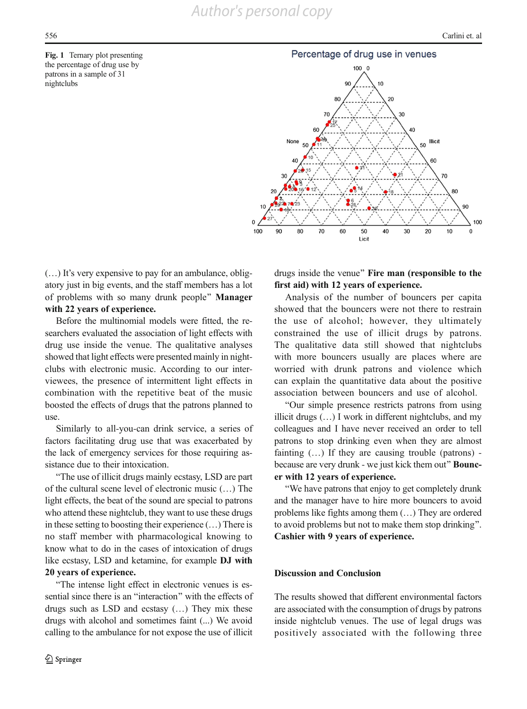Fig. 1 Ternary plot presenting the percentage of drug use by patrons in a sample of 31 nightclubs

<span id="page-9-0"></span>

(…) It's very expensive to pay for an ambulance, obligatory just in big events, and the staff members has a lot of problems with so many drunk people^ Manager with 22 years of experience.

Before the multinomial models were fitted, the researchers evaluated the association of light effects with drug use inside the venue. The qualitative analyses showed that light effects were presented mainly in nightclubs with electronic music. According to our interviewees, the presence of intermittent light effects in combination with the repetitive beat of the music boosted the effects of drugs that the patrons planned to use.

Similarly to all-you-can drink service, a series of factors facilitating drug use that was exacerbated by the lack of emergency services for those requiring assistance due to their intoxication.

"The use of illicit drugs mainly ecstasy, LSD are part of the cultural scene level of electronic music (…) The light effects, the beat of the sound are special to patrons who attend these nightclub, they want to use these drugs in these setting to boosting their experience (…) There is no staff member with pharmacological knowing to know what to do in the cases of intoxication of drugs like ecstasy, LSD and ketamine, for example DJ with 20 years of experience.

"The intense light effect in electronic venues is essential since there is an "interaction" with the effects of drugs such as LSD and ecstasy (…) They mix these drugs with alcohol and sometimes faint (...) We avoid calling to the ambulance for not expose the use of illicit

drugs inside the venue" Fire man (responsible to the first aid) with 12 years of experience.

Analysis of the number of bouncers per capita showed that the bouncers were not there to restrain the use of alcohol; however, they ultimately constrained the use of illicit drugs by patrons. The qualitative data still showed that nightclubs with more bouncers usually are places where are worried with drunk patrons and violence which can explain the quantitative data about the positive association between bouncers and use of alcohol.

"Our simple presence restricts patrons from using illicit drugs (…) I work in different nightclubs, and my colleagues and I have never received an order to tell patrons to stop drinking even when they are almost fainting (…) If they are causing trouble (patrons) because are very drunk - we just kick them out" **Bounc**er with 12 years of experience.

"We have patrons that enjoy to get completely drunk and the manager have to hire more bouncers to avoid problems like fights among them (…) They are ordered to avoid problems but not to make them stop drinking^. Cashier with 9 years of experience.

#### Discussion and Conclusion

The results showed that different environmental factors are associated with the consumption of drugs by patrons inside nightclub venues. The use of legal drugs was positively associated with the following three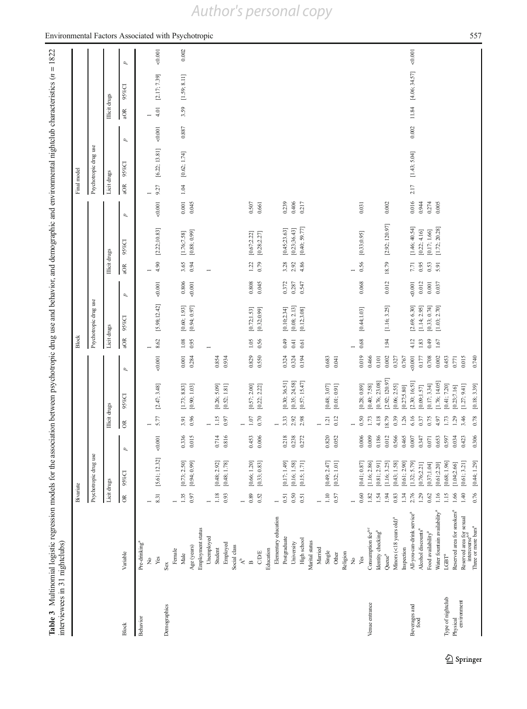|                       |                                                                                                             | Bivariate    |                                                                                                                                                                                                                 |                  |                |                                 |                    | <b>Block</b>     |                              |                |               |                               |                  | Final model |                       |               |               |               |       |
|-----------------------|-------------------------------------------------------------------------------------------------------------|--------------|-----------------------------------------------------------------------------------------------------------------------------------------------------------------------------------------------------------------|------------------|----------------|---------------------------------|--------------------|------------------|------------------------------|----------------|---------------|-------------------------------|------------------|-------------|-----------------------|---------------|---------------|---------------|-------|
|                       |                                                                                                             |              | Psychotropic drug use                                                                                                                                                                                           |                  |                |                                 |                    |                  | Psychotropic drug use        |                |               |                               |                  |             | Psychotropic drug use |               |               |               |       |
|                       |                                                                                                             |              | Licit drugs                                                                                                                                                                                                     |                  | Illicit drugs  |                                 |                    | Licit drugs      |                              |                | Illicit drugs |                               |                  | Licit drugs |                       |               | Illicit drugs |               |       |
| <b>Block</b>          | Variable                                                                                                    | $\alpha$     | 95%CI                                                                                                                                                                                                           | p,               | $\mathfrak{S}$ | 95%CI                           | $\mathcal{L}$      | aOR              | 95%CI                        | $\mathcal{L}$  | aOR           | 95%CI                         | $\mathcal{L}$    | aOR         | 95%CI                 | $\mathcal{L}$ | aOR           | 95%CI         | p     |
| Behavior              | Pre-drinking <sup>a</sup><br>ż                                                                              |              |                                                                                                                                                                                                                 |                  |                |                                 |                    |                  |                              |                |               |                               |                  |             |                       |               |               |               |       |
|                       | Yes                                                                                                         | 8.31         | $32]$<br>[5.61; 12]                                                                                                                                                                                             | 0.001            | 5.77           | [2.47; 3.48]                    | 0.001              | 8.62             | [5.98; 12.42]                | 0.001          | 4.90          | [2.22;10.83]                  | 0.001            | 9.27        | [6.22; 13.81]         | 0.001         | 4.01          | [2.17; 7.39]  | 0.001 |
| Demographics          | Sex                                                                                                         |              |                                                                                                                                                                                                                 |                  |                |                                 |                    |                  |                              |                |               |                               |                  |             |                       |               |               |               |       |
|                       | Female                                                                                                      |              |                                                                                                                                                                                                                 |                  |                |                                 |                    |                  |                              |                |               |                               |                  |             |                       |               |               |               |       |
|                       | Male                                                                                                        | 1.35<br>0.97 | $[0.73; 2.50]$<br>$[0.94; 0.99]$                                                                                                                                                                                | 0.336<br>0.015   | 0.96<br>3.91   | [1.73; 8.83]<br>[0.90; 1.03]    | $0.001$<br>0.284   | $1.08\,$<br>0.95 | [0.60; 1.93]<br>[0.94; 0.97] | 0.806<br>0.001 | 3.65<br>0.94  | [0.88; 0.99]<br>[1.76; 7.58]  | $0.001$<br>0.045 | 1.04        | [0.62; 1.74]          | 0.887         | 3.59          | [1.59; 8.11]  | 0.002 |
|                       | Employment status<br>Age (years)                                                                            |              |                                                                                                                                                                                                                 |                  |                |                                 |                    |                  |                              |                |               |                               |                  |             |                       |               |               |               |       |
|                       | Unemployed                                                                                                  |              |                                                                                                                                                                                                                 |                  |                |                                 |                    |                  |                              |                |               |                               |                  |             |                       |               |               |               |       |
|                       | Student                                                                                                     | $1.18$       | [0.48; 2.92]                                                                                                                                                                                                    | 0.714            | 1.15           | [0.26; 5.09]                    | 0.854              |                  |                              |                |               |                               |                  |             |                       |               |               |               |       |
|                       | Employed                                                                                                    | 0.93         | [0.48; 1.78]                                                                                                                                                                                                    | 0.816            | 0.97           | [0.52; 1.81]                    | 0.934              |                  |                              |                |               |                               |                  |             |                       |               |               |               |       |
|                       | Social class<br>$\mathbb{A}^{\mathsf{b}}$                                                                   |              |                                                                                                                                                                                                                 |                  |                |                                 |                    |                  |                              |                |               |                               |                  |             |                       |               |               |               |       |
|                       | $\mathbf{\Omega}$                                                                                           | 0.89         |                                                                                                                                                                                                                 |                  | $1.07\,$       | [0.57; 2.00]                    |                    |                  | [0.72; 1.53]                 | $\!0.808$      | 1.22          | [0.67; 2.22]                  | $0.507$          |             |                       |               |               |               |       |
|                       |                                                                                                             |              | $[0.66; 1.20]$ $[0.33; 0.83]$                                                                                                                                                                                   | 0.453<br>0.006   | $0.70$         | [0.22; 2.22]                    | 0.829<br>0.550     | 1.05<br>0.56     | [0.32; 0.99]                 |                | 0.79          | [0.28;2.27]                   |                  |             |                       |               |               |               |       |
|                       | Education<br>CD/E                                                                                           | 0.52         |                                                                                                                                                                                                                 |                  |                |                                 |                    |                  |                              | 0.045          |               |                               | 0.661            |             |                       |               |               |               |       |
|                       | Elementary education                                                                                        |              |                                                                                                                                                                                                                 |                  |                |                                 |                    |                  |                              |                |               |                               |                  |             |                       |               |               |               |       |
|                       | Postgraduate                                                                                                | 0.51         | [0.17; 1.49]                                                                                                                                                                                                    | 0.218            | 3.33           | [0.30; 36.51]                   | 0.324              | 0.49             | [0.10;2.34]                  | 0.372          | 3.28          | [0.45; 23.63]                 | 0.239            |             |                       |               |               |               |       |
|                       | University                                                                                                  | 0.50         | $[0.16; 1.58]$ $[0.15; 1.71]$                                                                                                                                                                                   | 0.238            | 2.92           | $[0.35; 24.58]$ $[0.57; 15.47]$ | 0.324              | $0.41\,$         | [0.08; 2.13]                 | 0.287          | 2.92          | [0.23; 36.43]                 | 0.406            |             |                       |               |               |               |       |
|                       | High school                                                                                                 | 0.51         |                                                                                                                                                                                                                 | 0.272            | 2.98           |                                 | 0.194              | $0.61\,$         | [0.12; 3.08]                 | 0.547          | 4.86          | [0.40; 59.77]                 | 0.217            |             |                       |               |               |               |       |
|                       | Marital status                                                                                              |              |                                                                                                                                                                                                                 |                  |                |                                 |                    |                  |                              |                |               |                               |                  |             |                       |               |               |               |       |
|                       | Married                                                                                                     |              |                                                                                                                                                                                                                 |                  |                |                                 |                    |                  |                              |                |               |                               |                  |             |                       |               |               |               |       |
|                       | Single                                                                                                      | $1.10\,$     | $[0.49; 2.47]$ $[0.32; 1.01]$                                                                                                                                                                                   | 0.820            | 1.21           | [0.48; 3.07]                    | 0.683              |                  |                              |                |               |                               |                  |             |                       |               |               |               |       |
|                       | Religion<br>Other                                                                                           | 0.57         |                                                                                                                                                                                                                 | 0.052            | 0.12           | [0.01; 0.91]                    | 0.041              |                  |                              |                |               |                               |                  |             |                       |               |               |               |       |
|                       | ż                                                                                                           |              |                                                                                                                                                                                                                 |                  |                |                                 |                    |                  |                              |                |               |                               |                  |             |                       |               |               |               |       |
|                       | Yes                                                                                                         | 0.60         |                                                                                                                                                                                                                 | 0.006            | 0.50           | [0.28; 0.89]                    | 0.019              | $0.68\,$         | [0.44; 1.03]                 | $0.068\,$      | 0.56          | [0.33; 0.95]                  | 0.031            |             |                       |               |               |               |       |
| Venue entrance        | Consumption fee <sup>a,c</sup>                                                                              | 1.82         | $[0.41; 0.87]$<br>$[1.16; 2.86]$                                                                                                                                                                                | 0.009            | 1.73           | [0.40; 7.58]                    | 0.466              |                  |                              |                |               |                               |                  |             |                       |               |               |               |       |
|                       | Identity checking <sup>a</sup>                                                                              | 1.54         |                                                                                                                                                                                                                 | 0.186            | 4.18           | [0.76; 23.08]                   | $0.101\,$          |                  |                              |                |               |                               |                  |             |                       |               |               |               |       |
|                       | Queue <sup>a</sup>                                                                                          | 1.94         |                                                                                                                                                                                                                 | 0.012            | 18.79          | [2.92; 120.97]                  | $0.002$            | 1.94             | [1.16; 3.25]                 | 0.012          | 18.79         | [2.92; 120.97]                | $0.002$          |             |                       |               |               |               |       |
|                       | Minors (<18 years old) <sup>a</sup>                                                                         | 0.83         |                                                                                                                                                                                                                 | 0.566            | 0.39           | [0.06; 2.55]                    | 0.327              |                  |                              |                |               |                               |                  |             |                       |               |               |               |       |
|                       | Inspection                                                                                                  | 1.34         |                                                                                                                                                                                                                 | 0.465            | 1.26           | [0.27; 5.80]                    | 0.767              |                  |                              |                |               |                               |                  |             |                       |               |               |               |       |
| Beverages and<br>food | All-you-can-drink service <sup>a</sup><br>Alcohol discounts <sup>a</sup>                                    | 2.76<br>1.29 | $[0.81;2.91] \\ [1.16;3.25] \\ [0.43;1.58] \\ [0.61;2.90] \\ [1.32;5.79] \\ [1.32;5.79] \\ [0.762,21] \\ [0.61;2.20] \\ [0.61;2.20] \\ [0.63;1.96] \\ [1.04;2.66] \\ [1.04;2.66] \\ [1.04;2.66] \\ \end{array}$ | $0.007$<br>0.347 | 6.16<br>0.37   | [2.30; 16; 51]<br>[0.09; 1.57]  | $0.177\,$<br>0.001 | 4.12<br>$1.83\,$ | [2.69; 6.30]<br>[1.14; 2.95] | 0.012<br>0.001 | 0.95<br>7.71  | [1.46; 40.54]<br>[0.22; 4.16] | 0.016<br>0.944   | 2.17        | [1.43; 5.04]          | 0.002         | 11.84         | [4.06; 34.57] | 0.001 |
|                       | Food availability <sup>a</sup>                                                                              | 0.62         |                                                                                                                                                                                                                 | 0.071            | 0.75           | [0.17; 3.34]                    | $0.708\,$          | 64.0             | [0.33; 0.74]                 | $0.001\,$      | 0.53          | [0.17; 1.66]                  | 0.274            |             |                       |               |               |               |       |
|                       | Water fountain availability <sup>a</sup>                                                                    | 1.16         |                                                                                                                                                                                                                 | 0.653            | 4.97           | [1.76; 14.05]                   | 0.002              | 1.67             | [1.03; 2.70]                 | 0.037          | 5.91          | [1.72; 20.28]                 | 0.005            |             |                       |               |               |               |       |
| Type of nightclub     | $LOGBT^a$                                                                                                   | 1.15         |                                                                                                                                                                                                                 | 0.597            | 1.73           | [0.41; 7.20]                    | 0.453              |                  |                              |                |               |                               |                  |             |                       |               |               |               |       |
| Physical              | Reserved area for smokers <sup>a</sup>                                                                      | 1.66         |                                                                                                                                                                                                                 | 0.034            | 1.29           | [0.23; 7.16]                    | 0.771              |                  |                              |                |               |                               |                  |             |                       |               |               |               |       |
| environment           | Reserved area for sexual<br>intercourse <sup><math>\alpha d</math></sup><br>Three or more bars <sup>a</sup> | 1.40         | [0.61; 3.21]                                                                                                                                                                                                    | 0.423            | 3.46           | [1.27; 9.41]                    | 0.015              |                  |                              |                |               |                               |                  |             |                       |               |               |               |       |
|                       |                                                                                                             | 0.76         | [0.44; 1.29]                                                                                                                                                                                                    | 0.306            | $0.78\,$       | [0.18; 3.39]                    | 0.740              |                  |                              |                |               |                               |                  |             |                       |               |               |               |       |

<span id="page-10-0"></span>

 $\underline{\textcircled{\tiny 2}}$  Springer

## *Author's personal copy*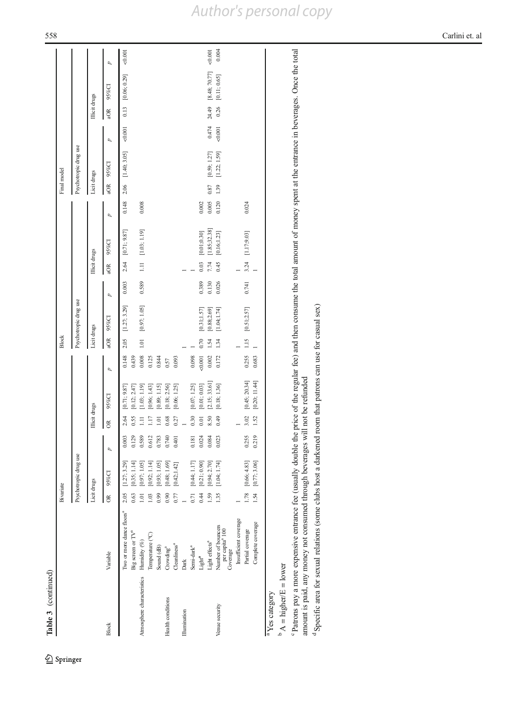|                                         |                                                                        | Bivariate         |                              |                |                |                              |                | <b>Block</b> |                       |       |               |                         |       | Final model |                           |       |               |               |       |
|-----------------------------------------|------------------------------------------------------------------------|-------------------|------------------------------|----------------|----------------|------------------------------|----------------|--------------|-----------------------|-------|---------------|-------------------------|-------|-------------|---------------------------|-------|---------------|---------------|-------|
|                                         |                                                                        |                   | Psychotropic drug use        |                |                |                              |                |              | Psychotropic drug use |       |               |                         |       |             | Psychotropic drug use     |       |               |               |       |
|                                         |                                                                        |                   | Licit drugs                  |                | Illicit drugs  |                              |                | Licit drugs  |                       |       | Illicit drugs |                         |       | Licit drugs |                           |       | Illicit drugs |               |       |
| <b>Block</b>                            | Variable                                                               | g                 | ರ<br>95%                     | d              | $\approx$      | 95%CI                        | d              | aOR          | 95%CI                 | p     | aOR           | 95%CI                   | d     | aQR         | 95%CI                     | d     | aOR           | 95%CI         | p     |
|                                         | Two or more dance floors <sup>a</sup><br>Big screen or TV <sup>a</sup> | 0.63<br>2.05      | [1.27; 3.29]<br>[0.35; 1.14] | 0.003<br>0.129 | 2.64<br>0.55   | [0.71; 9.87]<br>[0.12; 2.47] | 0.148<br>0.439 | 2.05         | [127; 329]            | 0.003 | 2.64          | [0.71; 9.87]            |       |             | $0.148$ 2.06 [1.40; 3.05] | 0.001 | 0.13          | [0.06; 0.29]  | 0.001 |
| Atmosphere characteristics Humidity (%) |                                                                        | $\overline{1.01}$ | [0.97; 1.05]                 | 0.589          | Ξ              | [1.03; 1.19]                 | $0.008\,$      |              | 1.01 [0.97; 1.05]     |       |               | 0.589 1.11 [1.03; 1.19] | 0.008 |             |                           |       |               |               |       |
|                                         | Temperature (°C)                                                       | 1.03              | [0.92; 1.14]                 | 0.612          |                | [0.96; 1.43]                 | 0.125          |              |                       |       |               |                         |       |             |                           |       |               |               |       |
|                                         | Sound (dB)                                                             | 0.99              | [0.93; 1.05]                 | 0.783          | $\overline{a}$ | [0.89; 1.15]                 | 0.844          |              |                       |       |               |                         |       |             |                           |       |               |               |       |
| Health conditions                       | Crowding <sup>a</sup>                                                  | 0.90              | [0.48; 1.69]                 | 0.740          | 0.68           | [0.18; 2.56]                 | 0.57           |              |                       |       |               |                         |       |             |                           |       |               |               |       |
|                                         | Cleanliness <sup>a</sup>                                               | 0.77              | [0.42; 1.42]                 | 0.401          | 0.27           | [0.06; 1.25]                 | 0.093          |              |                       |       |               |                         |       |             |                           |       |               |               |       |
| Illumination                            | Dark                                                                   |                   |                              |                |                |                              |                |              |                       |       |               |                         |       |             |                           |       |               |               |       |
|                                         | Semi-dark <sup>a</sup>                                                 | 0.71              | [0.44; 1.17]                 | 0.181          | 0.30           | [0.07; 1.25]                 | 0.098          |              |                       |       |               |                         |       |             |                           |       |               |               |       |
|                                         | Light <sup>a</sup>                                                     | 0.44              | [0.21; 0.90]                 | 0.024          | 0.01           | [0.01; 0.03]                 | 0.001          | 0.70         | [0.31; 1.57]          | 0.389 | 0.03          | [0.01; 0.30]            | 0.002 |             |                           |       |               |               |       |
|                                         | Light effects <sup>a</sup>                                             | 1.59              | [0.94; 2.70]                 | 0.084          | 8.50           | [2.15; 33.61]                | 0.002          | 1.54         | [0.88; 2.69]          | 0.130 | 7.74          | [1.85; 32.38]           | 0.005 | 0.87        | [0.59; 1.27]              | 0.474 | 24.49         | [8.48; 70.77] | 0.001 |
| Venue security                          | Number of bouncers<br>per capita $100$<br>Coverage                     | 1.35              | [1.04; 1.74]                 | 0.023          | 0.49           | [0.18; 1.36]                 | 0.172          | 1.34         | [1.04; 1.74]          | 0.026 | 0.45          | [0.16; 1.23]            | 0.120 | 1.39        | [1.22; 1.59]              | 0.001 | 0.26          | [0.11; 0.65]  | 0.004 |
|                                         | Insufficient coverage                                                  |                   |                              |                |                |                              |                |              |                       |       |               |                         |       |             |                           |       |               |               |       |
|                                         | Partial coverage                                                       | 1.78              | [0.66; 4.83]                 | 0.255          | 3.02           | [0.45; 20.34]                | 0.255          | 1.15         | [0.51; 2.57]          | 0.741 |               | 3.24 [1.17;9.03]        | 0.024 |             |                           |       |               |               |       |
|                                         | Complete coverage                                                      | 1.54              | [0.77; 3.06]                 | 0.219          | 1.52           | [0.20; 11.44]                | 0.683          |              |                       |       |               |                         |       |             |                           |       |               |               |       |
| <sup>a</sup> Yes category               |                                                                        |                   |                              |                |                |                              |                |              |                       |       |               |                         |       |             |                           |       |               |               |       |
| $\Delta$ – higher/E – lower             |                                                                        |                   |                              |                |                |                              |                |              |                       |       |               |                         |       |             |                           |       |               |               |       |

 $A = \text{higher}/E = \text{lower}$  $A =$ higher/E = lower

<sup>6</sup> Patrons pay a more expensive entrance fee (usually double the price of the regular fee) and then consume the total amount of money spent at the entrance in beverages. Once the total Patrons pay a more expensive entrance fee (usually double the price of the regular fee) and then consume the total amount of money spent at the entrance in beverages. Once the total amount is paid, any money not consumed through beverages will not be refunded amount is paid, any money not consumed through beverages will not be refunded

<sup>d</sup> Specific area for sexual relations (some clubs host a darkened room that patrons can use for casual sex) Specific area for sexual relations (some clubs host a darkened room that patrons can use for casual sex)

 $\underline{\textcircled{\tiny 2}}$  Springer

Table 3 (continued)

Table 3 (continued)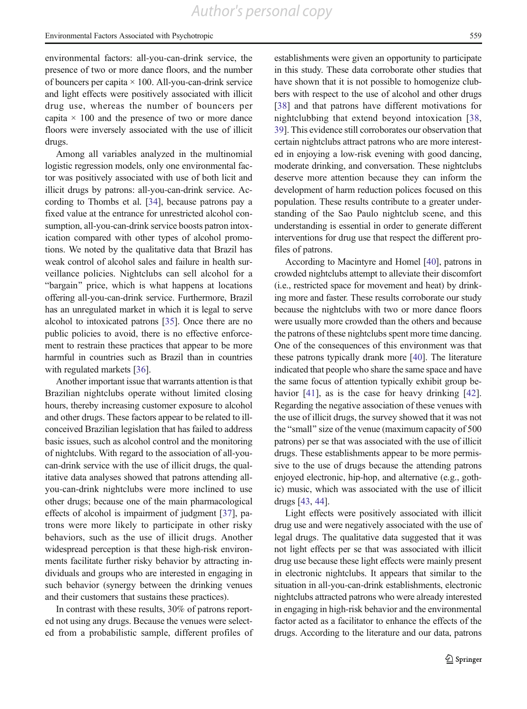#### Environmental Factors Associated with Psychotropic 559

environmental factors: all-you-can-drink service, the presence of two or more dance floors, and the number of bouncers per capita  $\times$  100. All-you-can-drink service

and light effects were positively associated with illicit drug use, whereas the number of bouncers per capita  $\times$  100 and the presence of two or more dance floors were inversely associated with the use of illicit drugs.

Among all variables analyzed in the multinomial logistic regression models, only one environmental factor was positively associated with use of both licit and illicit drugs by patrons: all-you-can-drink service. According to Thombs et al. [\[34\]](#page-15-0), because patrons pay a fixed value at the entrance for unrestricted alcohol consumption, all-you-can-drink service boosts patron intoxication compared with other types of alcohol promotions. We noted by the qualitative data that Brazil has weak control of alcohol sales and failure in health surveillance policies. Nightclubs can sell alcohol for a "bargain" price, which is what happens at locations offering all-you-can-drink service. Furthermore, Brazil has an unregulated market in which it is legal to serve alcohol to intoxicated patrons [\[35](#page-15-0)]. Once there are no public policies to avoid, there is no effective enforcement to restrain these practices that appear to be more harmful in countries such as Brazil than in countries with regulated markets [\[36](#page-15-0)].

Another important issue that warrants attention is that Brazilian nightclubs operate without limited closing hours, thereby increasing customer exposure to alcohol and other drugs. These factors appear to be related to illconceived Brazilian legislation that has failed to address basic issues, such as alcohol control and the monitoring of nightclubs. With regard to the association of all-youcan-drink service with the use of illicit drugs, the qualitative data analyses showed that patrons attending allyou-can-drink nightclubs were more inclined to use other drugs; because one of the main pharmacological effects of alcohol is impairment of judgment [\[37\]](#page-15-0), patrons were more likely to participate in other risky behaviors, such as the use of illicit drugs. Another widespread perception is that these high-risk environments facilitate further risky behavior by attracting individuals and groups who are interested in engaging in such behavior (synergy between the drinking venues and their customers that sustains these practices).

In contrast with these results, 30% of patrons reported not using any drugs. Because the venues were selected from a probabilistic sample, different profiles of establishments were given an opportunity to participate in this study. These data corroborate other studies that have shown that it is not possible to homogenize clubbers with respect to the use of alcohol and other drugs [\[38](#page-15-0)] and that patrons have different motivations for nightclubbing that extend beyond intoxication [[38,](#page-15-0) [39\]](#page-15-0). This evidence still corroborates our observation that certain nightclubs attract patrons who are more interested in enjoying a low-risk evening with good dancing, moderate drinking, and conversation. These nightclubs deserve more attention because they can inform the development of harm reduction polices focused on this population. These results contribute to a greater understanding of the Sao Paulo nightclub scene, and this understanding is essential in order to generate different interventions for drug use that respect the different profiles of patrons.

According to Macintyre and Homel [\[40\]](#page-15-0), patrons in crowded nightclubs attempt to alleviate their discomfort (i.e., restricted space for movement and heat) by drinking more and faster. These results corroborate our study because the nightclubs with two or more dance floors were usually more crowded than the others and because the patrons of these nightclubs spent more time dancing. One of the consequences of this environment was that these patrons typically drank more [[40](#page-15-0)]. The literature indicated that people who share the same space and have the same focus of attention typically exhibit group be-havior [[41\]](#page-15-0), as is the case for heavy drinking [[42\]](#page-15-0). Regarding the negative association of these venues with the use of illicit drugs, the survey showed that it was not the "small" size of the venue (maximum capacity of 500) patrons) per se that was associated with the use of illicit drugs. These establishments appear to be more permissive to the use of drugs because the attending patrons enjoyed electronic, hip-hop, and alternative (e.g., gothic) music, which was associated with the use of illicit drugs [\[43](#page-15-0), [44\]](#page-15-0).

Light effects were positively associated with illicit drug use and were negatively associated with the use of legal drugs. The qualitative data suggested that it was not light effects per se that was associated with illicit drug use because these light effects were mainly present in electronic nightclubs. It appears that similar to the situation in all-you-can-drink establishments, electronic nightclubs attracted patrons who were already interested in engaging in high-risk behavior and the environmental factor acted as a facilitator to enhance the effects of the drugs. According to the literature and our data, patrons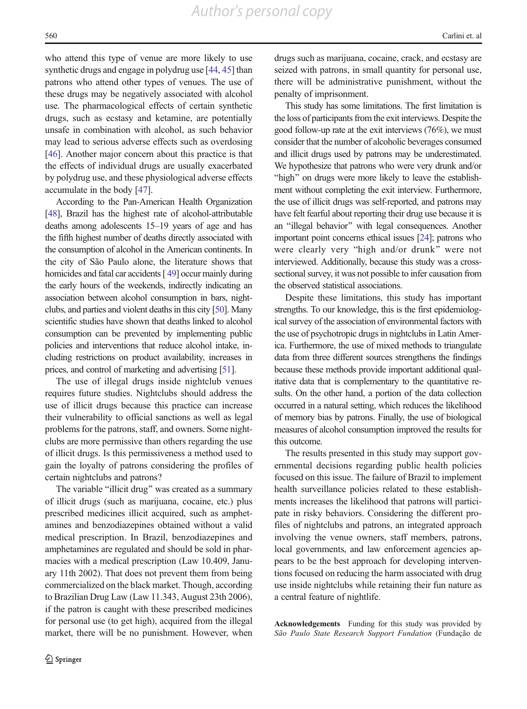who attend this type of venue are more likely to use synthetic drugs and engage in polydrug use [[44](#page-15-0), [45](#page-15-0)] than patrons who attend other types of venues. The use of these drugs may be negatively associated with alcohol use. The pharmacological effects of certain synthetic drugs, such as ecstasy and ketamine, are potentially unsafe in combination with alcohol, as such behavior may lead to serious adverse effects such as overdosing [[46\]](#page-15-0). Another major concern about this practice is that the effects of individual drugs are usually exacerbated by polydrug use, and these physiological adverse effects accumulate in the body [\[47](#page-15-0)].

According to the Pan-American Health Organization [[48](#page-15-0)], Brazil has the highest rate of alcohol-attributable deaths among adolescents 15–19 years of age and has the fifth highest number of deaths directly associated with the consumption of alcohol in the American continents. In the city of São Paulo alone, the literature shows that homicides and fatal car accidents [[49](#page-15-0)] occur mainly during the early hours of the weekends, indirectly indicating an association between alcohol consumption in bars, nightclubs, and parties and violent deaths in this city [\[50\]](#page-15-0). Many scientific studies have shown that deaths linked to alcohol consumption can be prevented by implementing public policies and interventions that reduce alcohol intake, including restrictions on product availability, increases in prices, and control of marketing and advertising [\[51](#page-15-0)].

The use of illegal drugs inside nightclub venues requires future studies. Nightclubs should address the use of illicit drugs because this practice can increase their vulnerability to official sanctions as well as legal problems for the patrons, staff, and owners. Some nightclubs are more permissive than others regarding the use of illicit drugs. Is this permissiveness a method used to gain the loyalty of patrons considering the profiles of certain nightclubs and patrons?

The variable "illicit drug" was created as a summary of illicit drugs (such as marijuana, cocaine, etc.) plus prescribed medicines illicit acquired, such as amphetamines and benzodiazepines obtained without a valid medical prescription. In Brazil, benzodiazepines and amphetamines are regulated and should be sold in pharmacies with a medical prescription (Law 10.409, January 11th 2002). That does not prevent them from being commercialized on the black market. Though, according to Brazilian Drug Law (Law 11.343, August 23th 2006), if the patron is caught with these prescribed medicines for personal use (to get high), acquired from the illegal market, there will be no punishment. However, when drugs such as marijuana, cocaine, crack, and ecstasy are seized with patrons, in small quantity for personal use, there will be administrative punishment, without the penalty of imprisonment.

This study has some limitations. The first limitation is the loss of participants from the exit interviews. Despite the good follow-up rate at the exit interviews (76%), we must consider that the number of alcoholic beverages consumed and illicit drugs used by patrons may be underestimated. We hypothesize that patrons who were very drunk and/or "high" on drugs were more likely to leave the establishment without completing the exit interview. Furthermore, the use of illicit drugs was self-reported, and patrons may have felt fearful about reporting their drug use because it is an "illegal behavior" with legal consequences. Another important point concerns ethical issues [\[24](#page-15-0)]; patrons who were clearly very "high and/or drunk" were not interviewed. Additionally, because this study was a crosssectional survey, it was not possible to infer causation from the observed statistical associations.

Despite these limitations, this study has important strengths. To our knowledge, this is the first epidemiological survey of the association of environmental factors with the use of psychotropic drugs in nightclubs in Latin America. Furthermore, the use of mixed methods to triangulate data from three different sources strengthens the findings because these methods provide important additional qualitative data that is complementary to the quantitative results. On the other hand, a portion of the data collection occurred in a natural setting, which reduces the likelihood of memory bias by patrons. Finally, the use of biological measures of alcohol consumption improved the results for this outcome.

The results presented in this study may support governmental decisions regarding public health policies focused on this issue. The failure of Brazil to implement health surveillance policies related to these establishments increases the likelihood that patrons will participate in risky behaviors. Considering the different profiles of nightclubs and patrons, an integrated approach involving the venue owners, staff members, patrons, local governments, and law enforcement agencies appears to be the best approach for developing interventions focused on reducing the harm associated with drug use inside nightclubs while retaining their fun nature as a central feature of nightlife.

Acknowledgements Funding for this study was provided by São Paulo State Research Support Fundation (Fundação de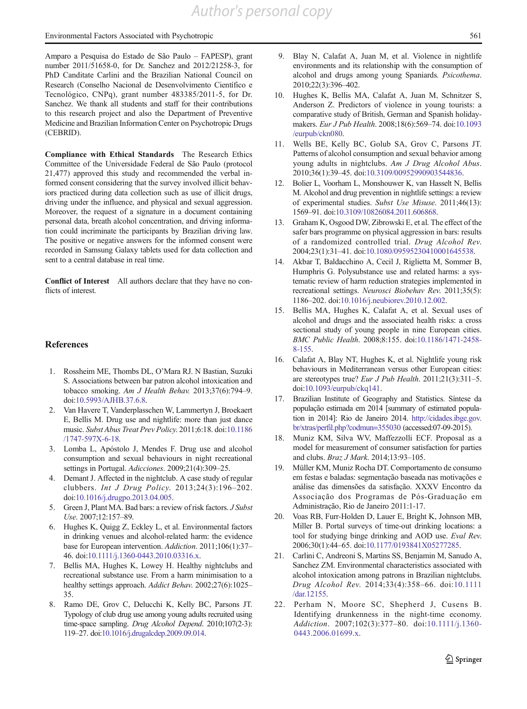#### <span id="page-14-0"></span>Environmental Factors Associated with Psychotropic 561

Amparo a Pesquisa do Estado de São Paulo – FAPESP), grant number 2011/51658-0, for Dr. Sanchez and 2012/21258-3, for PhD Canditate Carlini and the Brazilian National Council on Research (Conselho Nacional de Desenvolvimento Científico e Tecnológico, CNPq), grant number 483385/2011-5, for Dr. Sanchez. We thank all students and staff for their contributions to this research project and also the Department of Preventive Medicine and Brazilian Information Center on Psychotropic Drugs (CEBRID).

Compliance with Ethical Standards The Research Ethics Committee of the Universidade Federal de São Paulo (protocol 21,477) approved this study and recommended the verbal informed consent considering that the survey involved illicit behaviors practiced during data collection such as use of illicit drugs, driving under the influence, and physical and sexual aggression. Moreover, the request of a signature in a document containing personal data, breath alcohol concentration, and driving information could incriminate the participants by Brazilian driving law. The positive or negative answers for the informed consent were recorded in Samsung Galaxy tablets used for data collection and sent to a central database in real time.

Conflict of Interest All authors declare that they have no conflicts of interest.

#### References

- 1. Rossheim ME, Thombs DL, O'Mara RJ. N Bastian, Suzuki S. Associations between bar patron alcohol intoxication and tobacco smoking. Am J Health Behav. 2013;37(6):794–9. doi:[10.5993/AJHB.37.6.8.](http://dx.doi.org/10.5993/AJHB.37.6.8)
- 2. Van Havere T, Vanderplasschen W, Lammertyn J, Broekaert E, Bellis M. Drug use and nightlife: more than just dance music. Subst Abus Treat Prev Policy. 2011;6:18. doi:[10.1186](http://dx.doi.org/10.1186/1747-597X-6-18) [/1747-597X-6-18](http://dx.doi.org/10.1186/1747-597X-6-18).
- 3. Lomba L, Apóstolo J, Mendes F. Drug use and alcohol consumption and sexual behaviours in night recreational settings in Portugal. Adicciones. 2009;21(4):309–25.
- 4. Demant J. Affected in the nightclub. A case study of regular clubbers. Int J Drug Policy. 2013;24(3):196–202. doi:[10.1016/j.drugpo.2013.04.005](http://dx.doi.org/10.1016/j.drugpo.2013.04.005).
- 5. Green J, Plant MA. Bad bars: a review of risk factors. J Subst Use. 2007;12:157–89.
- 6. Hughes K, Quigg Z, Eckley L, et al. Environmental factors in drinking venues and alcohol-related harm: the evidence base for European intervention. Addiction. 2011;106(1):37– 46. doi[:10.1111/j.1360-0443.2010.03316.x.](http://dx.doi.org/10.1111/j.1360-0443.2010.03316.x)
- 7. Bellis MA, Hughes K, Lowey H. Healthy nightclubs and recreational substance use. From a harm minimisation to a healthy settings approach. Addict Behav. 2002;27(6):1025– 35.
- 8. Ramo DE, Grov C, Delucchi K, Kelly BC, Parsons JT. Typology of club drug use among young adults recruited using time-space sampling. Drug Alcohol Depend. 2010;107(2-3): 119–27. doi[:10.1016/j.drugalcdep.2009.09.014](http://dx.doi.org/10.1016/j.drugalcdep.2009.09.014).
- 9. Blay N, Calafat A, Juan M, et al. Violence in nightlife environments and its relationship with the consumption of alcohol and drugs among young Spaniards. Psicothema. 2010;22(3):396–402.
- 10. Hughes K, Bellis MA, Calafat A, Juan M, Schnitzer S, Anderson Z. Predictors of violence in young tourists: a comparative study of British, German and Spanish holidaymakers. Eur J Pub Health. 2008;18(6):569–74. doi[:10.1093](http://dx.doi.org/10.1093/eurpub/ckn080) [/eurpub/ckn080.](http://dx.doi.org/10.1093/eurpub/ckn080)
- 11. Wells BE, Kelly BC, Golub SA, Grov C, Parsons JT. Patterns of alcohol consumption and sexual behavior among young adults in nightclubs. Am J Drug Alcohol Abus. 2010;36(1):39–45. doi[:10.3109/00952990903544836.](http://dx.doi.org/10.3109/00952990903544836)
- 12. Bolier L, Voorham L, Monshouwer K, van Hasselt N, Bellis M. Alcohol and drug prevention in nightlife settings: a review of experimental studies. Subst Use Misuse. 2011;46(13): 1569–91. doi:[10.3109/10826084.2011.606868](http://dx.doi.org/10.3109/10826084.2011.606868).
- 13. Graham K, Osgood DW, Zibrowski E, et al. The effect of the safer bars programme on physical aggression in bars: results of a randomized controlled trial. Drug Alcohol Rev. 2004;23(1):31–41. doi[:10.1080/09595230410001645538.](http://dx.doi.org/10.1080/09595230410001645538)
- 14. Akbar T, Baldacchino A, Cecil J, Riglietta M, Sommer B, Humphris G. Polysubstance use and related harms: a systematic review of harm reduction strategies implemented in recreational settings. Neurosci Biobehav Rev. 2011;35(5): 1186–202. doi:[10.1016/j.neubiorev.2010.12.002](http://dx.doi.org/10.1016/j.neubiorev.2010.12.002).
- 15. Bellis MA, Hughes K, Calafat A, et al. Sexual uses of alcohol and drugs and the associated health risks: a cross sectional study of young people in nine European cities. BMC Public Health. 2008;8:155. doi[:10.1186/1471-2458-](http://dx.doi.org/10.1186/1471-2458-8-155) [8-155](http://dx.doi.org/10.1186/1471-2458-8-155).
- 16. Calafat A, Blay NT, Hughes K, et al. Nightlife young risk behaviours in Mediterranean versus other European cities: are stereotypes true? Eur J Pub Health. 2011;21(3):311–5. doi:[10.1093/eurpub/ckq141.](http://dx.doi.org/10.1093/eurpub/ckq141)
- 17. Brazilian Institute of Geography and Statistics. Síntese da população estimada em 2014 [summary of estimated population in 2014]: Rio de Janeiro 2014. [http://cidades.ibge.gov.](http://dx.doi.org/http://cidades.ibge.gov.br/xtras/perfil.php?codmun=355030) [br/xtras/perfil.php?codmun=355030](http://dx.doi.org/http://cidades.ibge.gov.br/xtras/perfil.php?codmun=355030) (accessed:07-09-2015).
- 18. Muniz KM, Silva WV, Maffezzolli ECF. Proposal as a model for measurement of consumer satisfaction for parties and clubs. Braz J Mark. 2014;13:93–105.
- 19. Müller KM, Muniz Rocha DT. Comportamento de consumo em festas e baladas: segmentação baseada nas motivações e análise das dimensões da satisfação. XXXV Encontro da Associação dos Programas de Pós-Graduação em Administração, Rio de Janeiro 2011:1-17.
- 20. Voas RB, Furr-Holden D, Lauer E, Bright K, Johnson MB, Miller B. Portal surveys of time-out drinking locations: a tool for studying binge drinking and AOD use. Eval Rev. 2006;30(1):44–65. doi[:10.1177/0193841X05277285.](http://dx.doi.org/10.1177/0193841X05277285)
- 21. Carlini C, Andreoni S, Martins SS, Benjamin M, Sanudo A, Sanchez ZM. Environmental characteristics associated with alcohol intoxication among patrons in Brazilian nightclubs. Drug Alcohol Rev. 2014;33(4):358–66. doi[:10.1111](http://dx.doi.org/10.1111/dar.12155) [/dar.12155.](http://dx.doi.org/10.1111/dar.12155)
- 22. Perham N, Moore SC, Shepherd J, Cusens B. Identifying drunkenness in the night-time economy. Addiction. 2007;102(3):377–80. doi:[10.1111/j.1360-](http://dx.doi.org/10.1111/j.1360-0443.2006.01699.x) [0443.2006.01699.x.](http://dx.doi.org/10.1111/j.1360-0443.2006.01699.x)